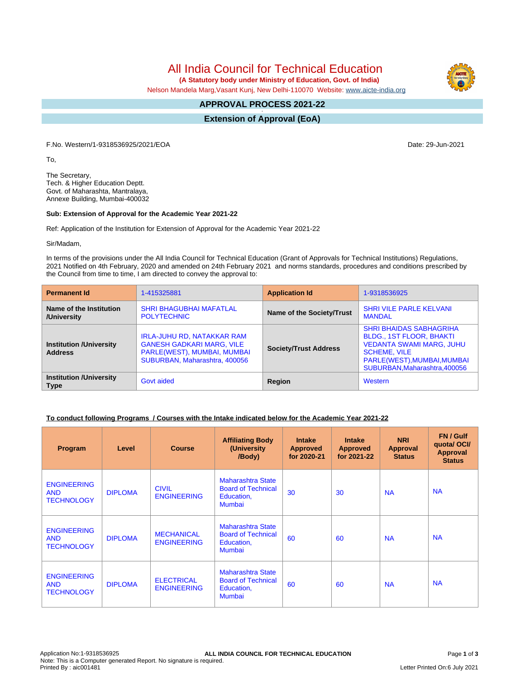# All India Council for Technical Education

 **(A Statutory body under Ministry of Education, Govt. of India)**

Nelson Mandela Marg,Vasant Kunj, New Delhi-110070 Website: [www.aicte-india.org](http://www.aicte-india.org)

## **APPROVAL PROCESS 2021-22**

**- Extension of Approval (EoA)**

F.No. Western/1-9318536925/2021/EOA Date: 29-Jun-2021

To,

The Secretary, Tech. & Higher Education Deptt. Govt. of Maharashta, Mantralaya, Annexe Building, Mumbai-400032

#### **Sub: Extension of Approval for the Academic Year 2021-22**

Ref: Application of the Institution for Extension of Approval for the Academic Year 2021-22

Sir/Madam,

In terms of the provisions under the All India Council for Technical Education (Grant of Approvals for Technical Institutions) Regulations, 2021 Notified on 4th February, 2020 and amended on 24th February 2021 and norms standards, procedures and conditions prescribed by the Council from time to time, I am directed to convey the approval to:

| <b>Permanent Id</b>                              | 1-415325881                                                                                                                    | <b>Application Id</b>        | 1-9318536925                                                                                                                                                                                |  |
|--------------------------------------------------|--------------------------------------------------------------------------------------------------------------------------------|------------------------------|---------------------------------------------------------------------------------------------------------------------------------------------------------------------------------------------|--|
| Name of the Institution<br>/University           | <b>SHRI BHAGUBHAI MAFATLAL</b><br><b>POLYTECHNIC</b>                                                                           | Name of the Society/Trust    | <b>SHRI VILE PARLE KELVANI</b><br><b>MANDAL</b>                                                                                                                                             |  |
| <b>Institution /University</b><br><b>Address</b> | IRLA-JUHU RD, NATAKKAR RAM<br><b>GANESH GADKARI MARG, VILE</b><br>PARLE(WEST), MUMBAI, MUMBAI<br>SUBURBAN, Maharashtra, 400056 | <b>Society/Trust Address</b> | <b>SHRI BHAIDAS SABHAGRIHA</b><br><b>BLDG., 1ST FLOOR, BHAKTI</b><br><b>VEDANTA SWAMI MARG, JUHU</b><br><b>SCHEME, VILE</b><br>PARLE(WEST), MUMBAI, MUMBAI<br>SUBURBAN, Maharashtra, 400056 |  |
| <b>Institution /University</b><br><b>Type</b>    | Govt aided                                                                                                                     | Region                       | Western                                                                                                                                                                                     |  |

### **To conduct following Programs / Courses with the Intake indicated below for the Academic Year 2021-22**

| Program                                               | Level          | <b>Course</b>                           | <b>Affiliating Body</b><br>(University<br>/Body)                              | <b>Intake</b><br><b>Approved</b><br>for 2020-21 | <b>Intake</b><br><b>Approved</b><br>for 2021-22 | <b>NRI</b><br><b>Approval</b><br><b>Status</b> | FN / Gulf<br>quotal OCI/<br><b>Approval</b><br><b>Status</b> |
|-------------------------------------------------------|----------------|-----------------------------------------|-------------------------------------------------------------------------------|-------------------------------------------------|-------------------------------------------------|------------------------------------------------|--------------------------------------------------------------|
| <b>ENGINEERING</b><br><b>AND</b><br><b>TECHNOLOGY</b> | <b>DIPLOMA</b> | <b>CIVIL</b><br><b>ENGINEERING</b>      | Maharashtra State<br><b>Board of Technical</b><br>Education,<br><b>Mumbai</b> | 30                                              | 30                                              | <b>NA</b>                                      | <b>NA</b>                                                    |
| <b>ENGINEERING</b><br><b>AND</b><br><b>TECHNOLOGY</b> | <b>DIPLOMA</b> | <b>MECHANICAL</b><br><b>ENGINEERING</b> | Maharashtra State<br><b>Board of Technical</b><br>Education,<br><b>Mumbai</b> | 60                                              | 60                                              | <b>NA</b>                                      | <b>NA</b>                                                    |
| <b>ENGINEERING</b><br><b>AND</b><br><b>TECHNOLOGY</b> | <b>DIPLOMA</b> | <b>ELECTRICAL</b><br><b>ENGINEERING</b> | <b>Maharashtra State</b><br><b>Board of Technical</b><br>Education,<br>Mumbai | 60                                              | 60                                              | <b>NA</b>                                      | <b>NA</b>                                                    |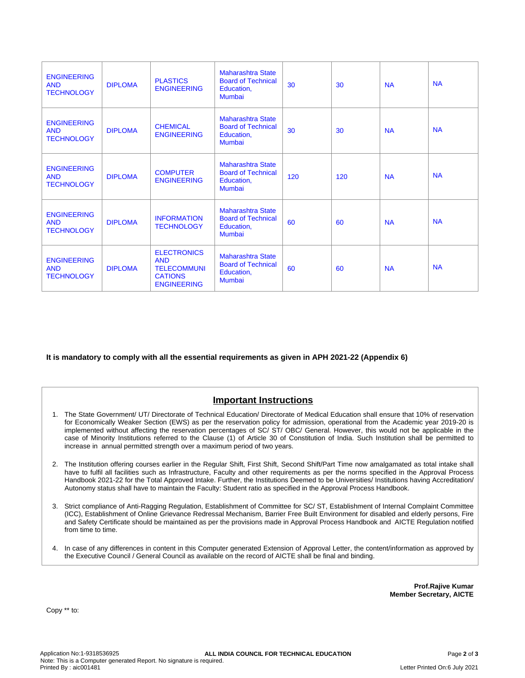| <b>ENGINEERING</b><br><b>AND</b><br><b>TECHNOLOGY</b> | <b>DIPLOMA</b> | <b>PLASTICS</b><br><b>ENGINEERING</b>                                                          | <b>Maharashtra State</b><br><b>Board of Technical</b><br>Education,<br>Mumbai | 30  | 30  | <b>NA</b> | <b>NA</b> |
|-------------------------------------------------------|----------------|------------------------------------------------------------------------------------------------|-------------------------------------------------------------------------------|-----|-----|-----------|-----------|
| <b>ENGINEERING</b><br><b>AND</b><br><b>TECHNOLOGY</b> | <b>DIPLOMA</b> | <b>CHEMICAL</b><br><b>ENGINEERING</b>                                                          | <b>Maharashtra State</b><br><b>Board of Technical</b><br>Education,<br>Mumbai | 30  | 30  | <b>NA</b> | <b>NA</b> |
| <b>ENGINEERING</b><br><b>AND</b><br><b>TECHNOLOGY</b> | <b>DIPLOMA</b> | <b>COMPUTER</b><br><b>ENGINEERING</b>                                                          | <b>Maharashtra State</b><br><b>Board of Technical</b><br>Education,<br>Mumbai | 120 | 120 | <b>NA</b> | <b>NA</b> |
| <b>ENGINEERING</b><br><b>AND</b><br><b>TECHNOLOGY</b> | <b>DIPLOMA</b> | <b>INFORMATION</b><br><b>TECHNOLOGY</b>                                                        | <b>Maharashtra State</b><br><b>Board of Technical</b><br>Education,<br>Mumbai | 60  | 60  | <b>NA</b> | <b>NA</b> |
| <b>ENGINEERING</b><br><b>AND</b><br><b>TECHNOLOGY</b> | <b>DIPLOMA</b> | <b>ELECTRONICS</b><br><b>AND</b><br><b>TELECOMMUNI</b><br><b>CATIONS</b><br><b>ENGINEERING</b> | <b>Maharashtra State</b><br><b>Board of Technical</b><br>Education,<br>Mumbai | 60  | 60  | <b>NA</b> | <b>NA</b> |

**It is mandatory to comply with all the essential requirements as given in APH 2021-22 (Appendix 6)**

## **Important Instructions**

- 1. The State Government/ UT/ Directorate of Technical Education/ Directorate of Medical Education shall ensure that 10% of reservation for Economically Weaker Section (EWS) as per the reservation policy for admission, operational from the Academic year 2019-20 is implemented without affecting the reservation percentages of SC/ ST/ OBC/ General. However, this would not be applicable in the case of Minority Institutions referred to the Clause (1) of Article 30 of Constitution of India. Such Institution shall be permitted to increase in annual permitted strength over a maximum period of two years.
- 2. The Institution offering courses earlier in the Regular Shift, First Shift, Second Shift/Part Time now amalgamated as total intake shall have to fulfil all facilities such as Infrastructure, Faculty and other requirements as per the norms specified in the Approval Process Handbook 2021-22 for the Total Approved Intake. Further, the Institutions Deemed to be Universities/ Institutions having Accreditation/ Autonomy status shall have to maintain the Faculty: Student ratio as specified in the Approval Process Handbook.
- 3. Strict compliance of Anti-Ragging Regulation, Establishment of Committee for SC/ ST, Establishment of Internal Complaint Committee (ICC), Establishment of Online Grievance Redressal Mechanism, Barrier Free Built Environment for disabled and elderly persons, Fire and Safety Certificate should be maintained as per the provisions made in Approval Process Handbook and AICTE Regulation notified from time to time.
- 4. In case of any differences in content in this Computer generated Extension of Approval Letter, the content/information as approved by the Executive Council / General Council as available on the record of AICTE shall be final and binding.

**Prof.Rajive Kumar Member Secretary, AICTE**

Copy \*\* to: